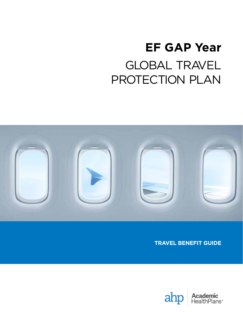# **EF GAP Year** GLOBAL TRAVEL PROTECTION PLAN



**TRAVEL BENEFIT GUIDE**



**Academic**<br>HealthPlans<sup>®</sup>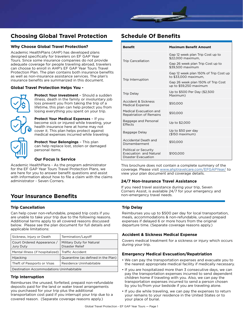## **Choosing Global Travel Protection**

#### **Why Choose Global Travel Protection?**

Academic HealthPlans (AHP) has developed plans designed specifically for travelers on EF GAP Year Tours. Since some insurance companies do not provide adequate coverage for people traveling abroad, travelers can choose to enroll in AHP's EF GAP Year Tours Travel Protection Plan. The plan contains both insurance benefits as well as non-insurance assistance services. The plan's insurance benefits are summarized in this document.

#### **Global Travel Protection Helps You -**



**Protect Your Investment** – Should a sudden illness, death in the family or involuntary job loss prevent you from taking the trip of a lifetime, this plan can help protect you from losing everything you spent on your trip.

**Protect Your Medical Expenses** – If you become sick or injured while traveling, your health insurance here at home may not cover it. This plan helps protect against medical expenses incurred while traveling.



**Protect Your Belongings** – This plan can help replace lost, stolen or damaged personal items.

#### **Our Focus Is Service**

Academic HealthPlans - As the program administrator for the EF GAP Year Tours Travel Protection Plans, we are here for you to answer benefit questions and assist with information about how to file a claim with the claims administrator - Seven Corners.

## **Your Insurance Benefits**

#### **Trip Cancellation**

Can help cover non-refundable, prepaid trip costs if you are unable to take your trip due to the following reasons. Additional terms apply to all covered reasons discussed below. Please see the plan document for full details and applicable limitations:

| Sickness, Injury or Death                           | Termination/Layoff                                  |
|-----------------------------------------------------|-----------------------------------------------------|
| Court Ordered Appearance /<br>Jury Duty             | Military Duty for Natural<br><b>Disaster Relief</b> |
| Mental Illness (if hospitalized)   Traffic Accident |                                                     |
| Hijacking                                           | Quarantine (as defined in the Plan)                 |
| Theft of Passports or Visas                         | Residence Uninhabitable                             |
| Destination Accommodations Uninhabitable            |                                                     |

#### **Trip Interruption**

Reimburses the unused, forfeited, prepaid non-refundable deposits paid for the land or water travel arrangements you purchased for your trip plus the additional transportation cost paid if you interrupt your trip due to a covered reason. (Separate coverage reasons apply.)

# **Schedule Of Benefits**

| <b>Benefit</b>                                                                | <b>Maximum Benefit Amount</b>                                 |
|-------------------------------------------------------------------------------|---------------------------------------------------------------|
| <b>Trip Cancellation</b>                                                      | Gap 12 week plan Trip Cost up to<br>\$22,000 maximum.         |
|                                                                               | Gap 26 week plan Trip Cost up to<br>\$39,500 maximum          |
| Trip Interruption                                                             | Gap 12 week plan 150% of Trip Cost up<br>to \$33,000 maximum, |
|                                                                               | Gap 26 week plan 150% of Trip Cost<br>up to \$59,250 maximum  |
| <b>Trip Delay</b>                                                             | Up to \$500 Per Day (\$2,500<br>Maximum)                      |
| Accident & Sickness<br><b>Medical Expense</b>                                 | \$50,000                                                      |
| Medical Evacuation and<br><b>Repatriation of Remains</b>                      | \$50,000                                                      |
| Baggage and Personal<br><b>Effects</b>                                        | Up to \$2,000                                                 |
| Baggage Delay                                                                 | Up to \$50 per day<br>$($150$ maximum)                        |
| Accidental Death and<br>Dismemberment                                         | \$50,000                                                      |
| Political or Security<br>Evacuation and Natural<br><b>Disaster Evacuation</b> | \$100,000                                                     |

This brochure does not contain a complete summary of the coverage. Please visit [www.ahptravelcare.com/EFGAPYear/](https://ahptravelcare.com/EFGapYear/) to view your plan document and coverage details.

#### **24/7 Non-Insurance Travel Assistance**

If you need travel assistance during your trip, Seven Corners Assist, is available 24/7 for your emergency and non-emergency travel needs.

#### **Trip Delay**

Reimburses you up to \$500 per day for local transportation, meals, accommodations & non-refundable, unused prepaid expenses if delayed 6 or more hours from the original departure time. (Separate coverage reasons apply.)

#### **Accident & Sickness Medical Expense**

Covers medical treatment for a sickness or injury which occurs during your trip.

#### **Emergency Medical Evacuation/Repatriation**

- We can pay the transportation expenses and evacuate you to the nearest appropriate medical facility if medically necessary.
- If you are hospitalized more than 3 consecutive days, we can pay the transportation expenses incurred to send dependent children home if traveling with you. Also, we can pay the transportation expenses incurred to send a person chosen by you to/from your bedside if you are traveling alone.
- If you die while traveling, we can pay the expenses to return your remains to your residence in the United States or to your place of burial.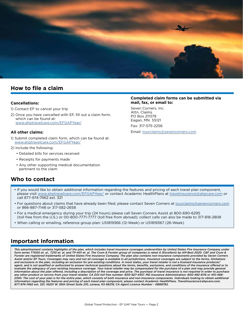

## **How to file a claim**

#### **Cancellations:**

- 1) Contact EF to cancel your trip
- 2) Once you have cancelled with EF, fill out a claim form, which can be found at: [www.ahptravelcare.com/EFGAPYear/](https://ahptravelcare.com/EFGapYear/)

#### **All other claims:**

- 1) Submit completed claim form, which can be found at: [www.ahptravelcare.com/EFGAPYear/](https://ahptravelcare.com/EFGapYear/)
- 2) Include the following:
	- Detailed bills for services received
	- Receipts for payments made
	- Any other supporting medical documentation pertinent to the claim

## **Who to contact**

#### **Completed claim forms can be submitted via mail, fax, or email to:**

Seven Corners, Inc. Attn. Claims PO Box 211379 Eagan, MN 55121 Fax: 317-575-2256

Email: [tourclaims@sevencorners.com](mailto:tourclaims%40sevencorners.com?subject=)

- If you would like to obtain additional information regarding the features and pricing of each travel plan component, please visit [www.ahptravelcare.com/EFGAPYear/](https://ahptravelcare.com/EFGapYear/) or contact Academic HealthPlans at [travelinsurance@ahpcare.com](mailto:travelinsurance%40ahpcare.com?subject=) or call 877-974-7462 ext. 321
- For questions about claims that have already been filed, please contact Seven Corners at [tourclaims@sevencorners.com](mailto:tourclaims%40sevencorners.com?subject=) or 866-887-7148 or 317-582-2658
- For a medical emergency during your trip (24 hours) please call Seven Corners Assist at 800-690-6295 (toll free from the U.S.) or 00-800-7771-7777 (toll free from abroad); collect calls can also be made to 317-818-2808
- When calling or emailing, reference group plan: US1819366 (12-Week) or US1819367 (26-Week)

## **Important Information**

*This advertisement contains highlights of the plan, which includes travel insurance coverages underwritten by United States Fire Insurance Company under form series T7000 et. al., T210 et. al. and TP-401 et. al. The Crum & Forster group of companies is rated A (Excellent) by AM Best 2020. C&F and Crum & Forster are registered trademarks of United States Fire Insurance Company. The plan also contains non-insurance components provided by Seven Corners Assist and/or EF Tours. Coverages may vary and not all coverage is available in all jurisdictions. Insurance coverages are subject to the terms, limitations and exclusions in the plan, including an exclusion for pre-existing conditions. In most states, your travel retailer is not a licensed insurance producer/ agent, and is not qualified or authorized to answer technical questions about the terms, benefits, exclusions, and conditions of the insurance offered or to*  evaluate the adequacy of your existing insurance coverage. Your travel retailer may be compensated for the purchase of a plan and may provide general information about the plan offered, including a description of the coverage and price. The purchase of travel insurance is not required in order to purchase *any other product or service from your travel retailer. CA DOI toll free number: 800-927-4357. MD Insurance Administration: 800-492-6116 or 410-468- 2340. The cost of your plan is for the entire plan, which consists of both insurance and non-insurance components. Individuals looking to obtain additional information regarding the features and pricing of each travel plan component, please contact Academic HealthPlans. Travelinsurance@ahpcare.com; 877-974-7462 ext. 321; 16201 W. 95th Street Suite 210, Lenexa, KS 66219; CA Agent Licence Number - 0B88782.*